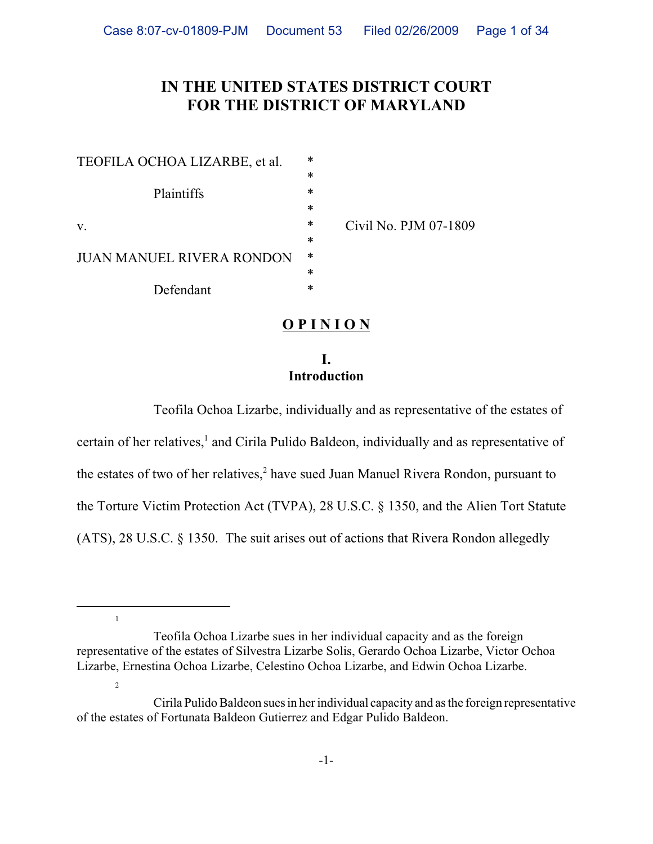# **IN THE UNITED STATES DISTRICT COURT FOR THE DISTRICT OF MARYLAND**

| TEOFILA OCHOA LIZARBE, et al.          | $\ast$ |                       |
|----------------------------------------|--------|-----------------------|
|                                        | *      |                       |
| Plaintiffs                             | *      |                       |
|                                        | *      |                       |
| V.<br><b>JUAN MANUEL RIVERA RONDON</b> | $\ast$ | Civil No. PJM 07-1809 |
|                                        | *      |                       |
|                                        | ∗      |                       |
|                                        | ∗      |                       |
| Defendant                              | *      |                       |

1

2

**O P I N I O N**

## **I. Introduction**

Teofila Ochoa Lizarbe, individually and as representative of the estates of certain of her relatives,<sup>1</sup> and Cirila Pulido Baldeon, individually and as representative of the estates of two of her relatives,<sup>2</sup> have sued Juan Manuel Rivera Rondon, pursuant to the Torture Victim Protection Act (TVPA), 28 U.S.C. § 1350, and the Alien Tort Statute (ATS), 28 U.S.C. § 1350. The suit arises out of actions that Rivera Rondon allegedly

Teofila Ochoa Lizarbe sues in her individual capacity and as the foreign representative of the estates of Silvestra Lizarbe Solis, Gerardo Ochoa Lizarbe, Victor Ochoa Lizarbe, Ernestina Ochoa Lizarbe, Celestino Ochoa Lizarbe, and Edwin Ochoa Lizarbe.

Cirila Pulido Baldeon sues in her individual capacity and as the foreign representative of the estates of Fortunata Baldeon Gutierrez and Edgar Pulido Baldeon.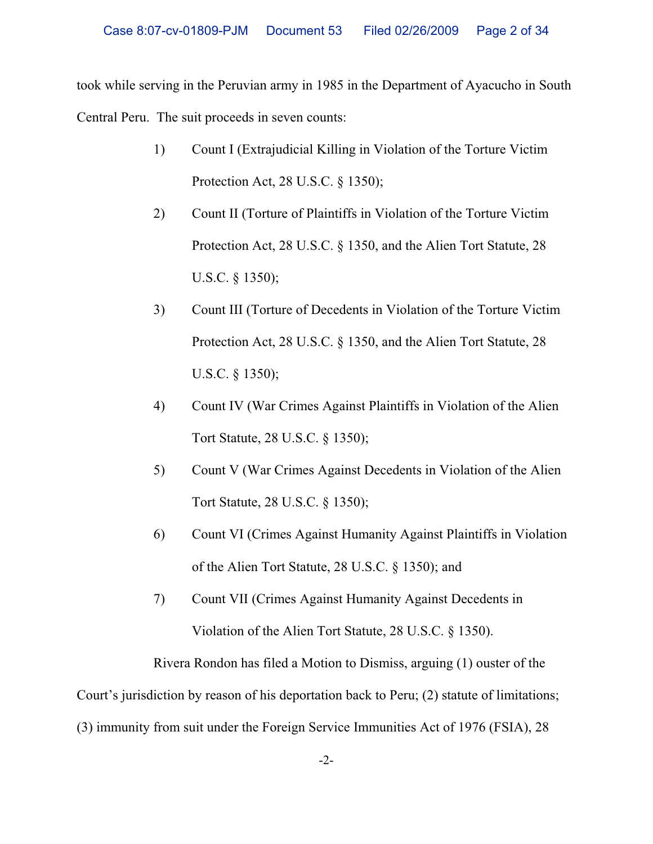took while serving in the Peruvian army in 1985 in the Department of Ayacucho in South Central Peru. The suit proceeds in seven counts:

- 1) Count I (Extrajudicial Killing in Violation of the Torture Victim Protection Act, 28 U.S.C. § 1350);
- 2) Count II (Torture of Plaintiffs in Violation of the Torture Victim Protection Act, 28 U.S.C. § 1350, and the Alien Tort Statute, 28 U.S.C. § 1350);
- 3) Count III (Torture of Decedents in Violation of the Torture Victim Protection Act, 28 U.S.C. § 1350, and the Alien Tort Statute, 28 U.S.C. § 1350);
- 4) Count IV (War Crimes Against Plaintiffs in Violation of the Alien Tort Statute, 28 U.S.C. § 1350);
- 5) Count V (War Crimes Against Decedents in Violation of the Alien Tort Statute, 28 U.S.C. § 1350);
- 6) Count VI (Crimes Against Humanity Against Plaintiffs in Violation of the Alien Tort Statute, 28 U.S.C. § 1350); and
- 7) Count VII (Crimes Against Humanity Against Decedents in Violation of the Alien Tort Statute, 28 U.S.C. § 1350).

Rivera Rondon has filed a Motion to Dismiss, arguing (1) ouster of the

Court's jurisdiction by reason of his deportation back to Peru; (2) statute of limitations;

(3) immunity from suit under the Foreign Service Immunities Act of 1976 (FSIA), 28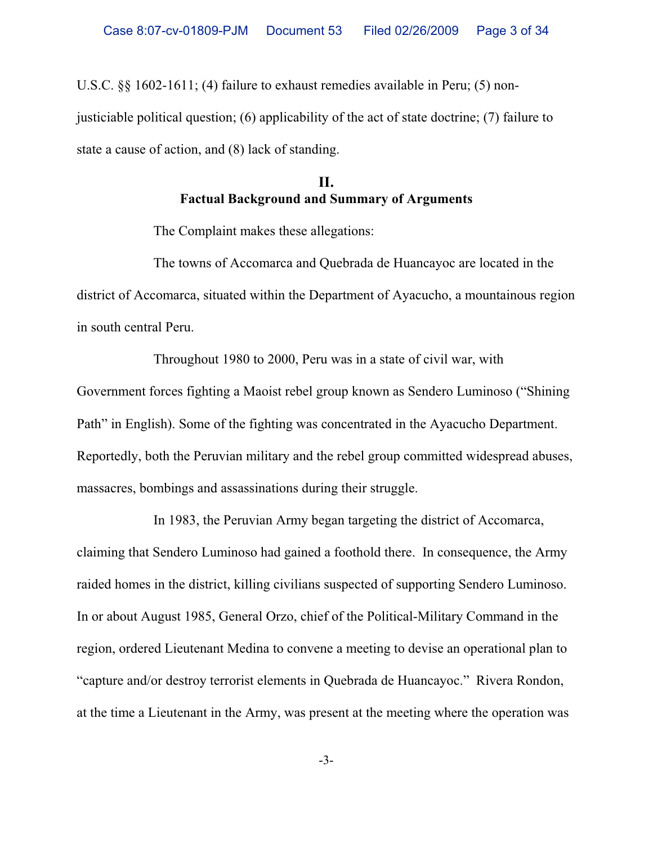U.S.C. §§ 1602-1611; (4) failure to exhaust remedies available in Peru; (5) nonjusticiable political question; (6) applicability of the act of state doctrine; (7) failure to state a cause of action, and (8) lack of standing.

# **II. Factual Background and Summary of Arguments**

The Complaint makes these allegations:

The towns of Accomarca and Quebrada de Huancayoc are located in the district of Accomarca, situated within the Department of Ayacucho, a mountainous region in south central Peru.

Throughout 1980 to 2000, Peru was in a state of civil war, with Government forces fighting a Maoist rebel group known as Sendero Luminoso ("Shining Path" in English). Some of the fighting was concentrated in the Ayacucho Department. Reportedly, both the Peruvian military and the rebel group committed widespread abuses, massacres, bombings and assassinations during their struggle.

In 1983, the Peruvian Army began targeting the district of Accomarca, claiming that Sendero Luminoso had gained a foothold there. In consequence, the Army raided homes in the district, killing civilians suspected of supporting Sendero Luminoso. In or about August 1985, General Orzo, chief of the Political-Military Command in the region, ordered Lieutenant Medina to convene a meeting to devise an operational plan to "capture and/or destroy terrorist elements in Quebrada de Huancayoc." Rivera Rondon, at the time a Lieutenant in the Army, was present at the meeting where the operation was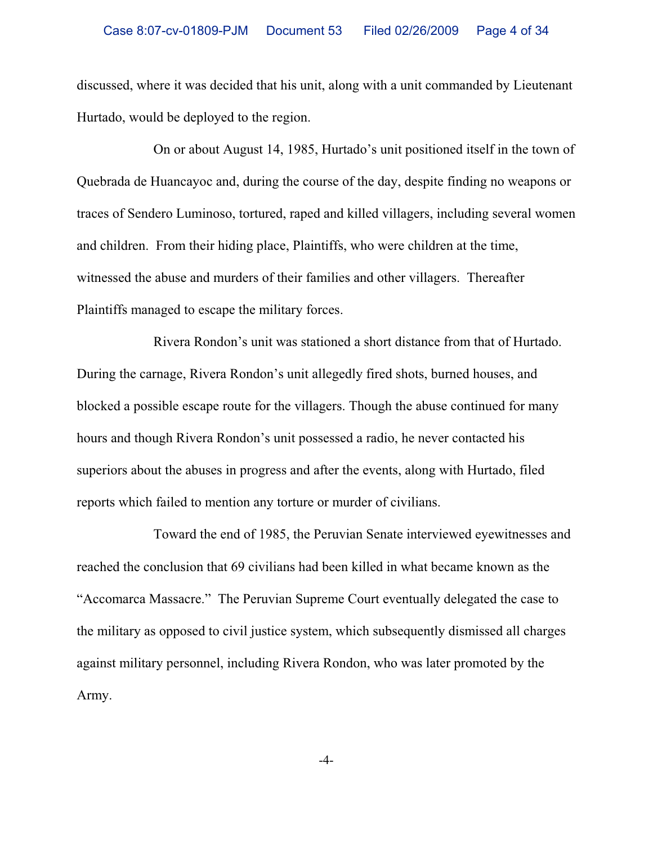discussed, where it was decided that his unit, along with a unit commanded by Lieutenant Hurtado, would be deployed to the region.

On or about August 14, 1985, Hurtado's unit positioned itself in the town of Quebrada de Huancayoc and, during the course of the day, despite finding no weapons or traces of Sendero Luminoso, tortured, raped and killed villagers, including several women and children. From their hiding place, Plaintiffs, who were children at the time, witnessed the abuse and murders of their families and other villagers. Thereafter Plaintiffs managed to escape the military forces.

Rivera Rondon's unit was stationed a short distance from that of Hurtado. During the carnage, Rivera Rondon's unit allegedly fired shots, burned houses, and blocked a possible escape route for the villagers. Though the abuse continued for many hours and though Rivera Rondon's unit possessed a radio, he never contacted his superiors about the abuses in progress and after the events, along with Hurtado, filed reports which failed to mention any torture or murder of civilians.

Toward the end of 1985, the Peruvian Senate interviewed eyewitnesses and reached the conclusion that 69 civilians had been killed in what became known as the "Accomarca Massacre." The Peruvian Supreme Court eventually delegated the case to the military as opposed to civil justice system, which subsequently dismissed all charges against military personnel, including Rivera Rondon, who was later promoted by the Army.

-4-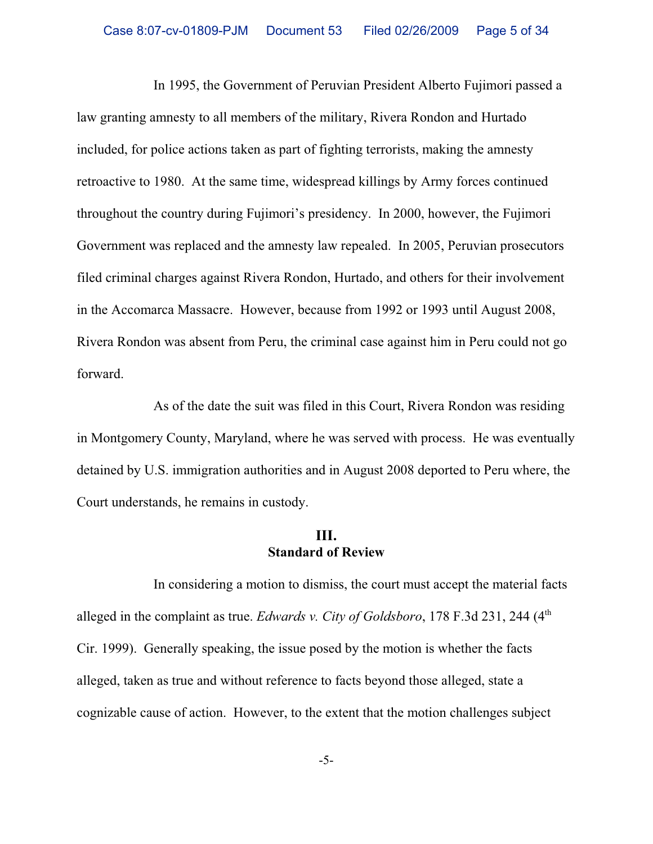In 1995, the Government of Peruvian President Alberto Fujimori passed a law granting amnesty to all members of the military, Rivera Rondon and Hurtado included, for police actions taken as part of fighting terrorists, making the amnesty retroactive to 1980. At the same time, widespread killings by Army forces continued throughout the country during Fujimori's presidency. In 2000, however, the Fujimori Government was replaced and the amnesty law repealed. In 2005, Peruvian prosecutors filed criminal charges against Rivera Rondon, Hurtado, and others for their involvement in the Accomarca Massacre. However, because from 1992 or 1993 until August 2008, Rivera Rondon was absent from Peru, the criminal case against him in Peru could not go forward.

As of the date the suit was filed in this Court, Rivera Rondon was residing in Montgomery County, Maryland, where he was served with process. He was eventually detained by U.S. immigration authorities and in August 2008 deported to Peru where, the Court understands, he remains in custody.

## **III. Standard of Review**

In considering a motion to dismiss, the court must accept the material facts alleged in the complaint as true. *Edwards v. City of Goldsboro*, 178 F.3d 231, 244 (4<sup>th</sup>) Cir. 1999). Generally speaking, the issue posed by the motion is whether the facts alleged, taken as true and without reference to facts beyond those alleged, state a cognizable cause of action. However, to the extent that the motion challenges subject

-5-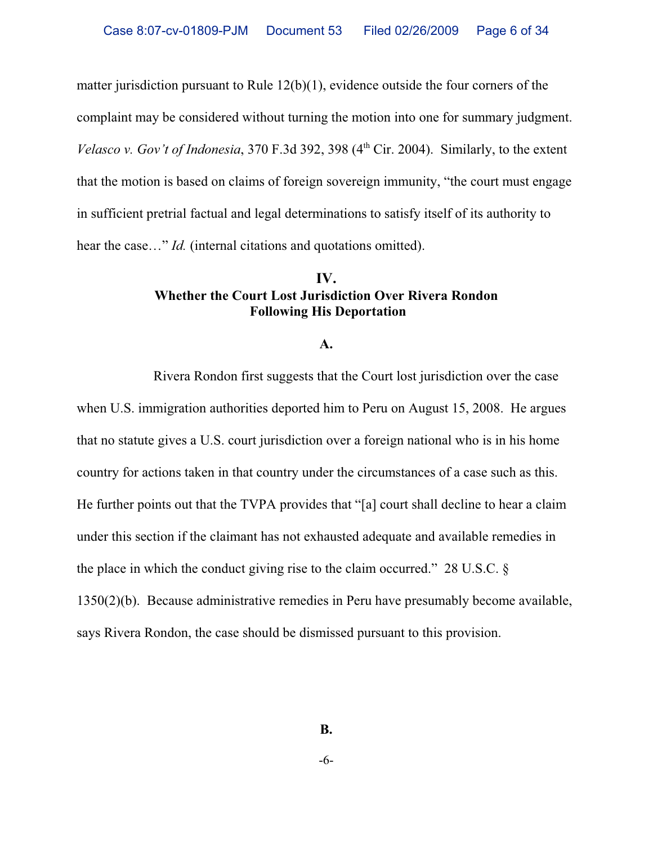matter jurisdiction pursuant to Rule 12(b)(1), evidence outside the four corners of the complaint may be considered without turning the motion into one for summary judgment. *Velasco v. Gov't of Indonesia*,  $370$  F.3d  $392$ ,  $398$  ( $4<sup>th</sup>$  Cir. 2004). Similarly, to the extent that the motion is based on claims of foreign sovereign immunity, "the court must engage in sufficient pretrial factual and legal determinations to satisfy itself of its authority to hear the case..." *Id.* (internal citations and quotations omitted).

## **IV. Whether the Court Lost Jurisdiction Over Rivera Rondon Following His Deportation**

**A.**

Rivera Rondon first suggests that the Court lost jurisdiction over the case when U.S. immigration authorities deported him to Peru on August 15, 2008. He argues that no statute gives a U.S. court jurisdiction over a foreign national who is in his home country for actions taken in that country under the circumstances of a case such as this. He further points out that the TVPA provides that "[a] court shall decline to hear a claim under this section if the claimant has not exhausted adequate and available remedies in the place in which the conduct giving rise to the claim occurred." 28 U.S.C. § 1350(2)(b). Because administrative remedies in Peru have presumably become available, says Rivera Rondon, the case should be dismissed pursuant to this provision.

**B.**

-6-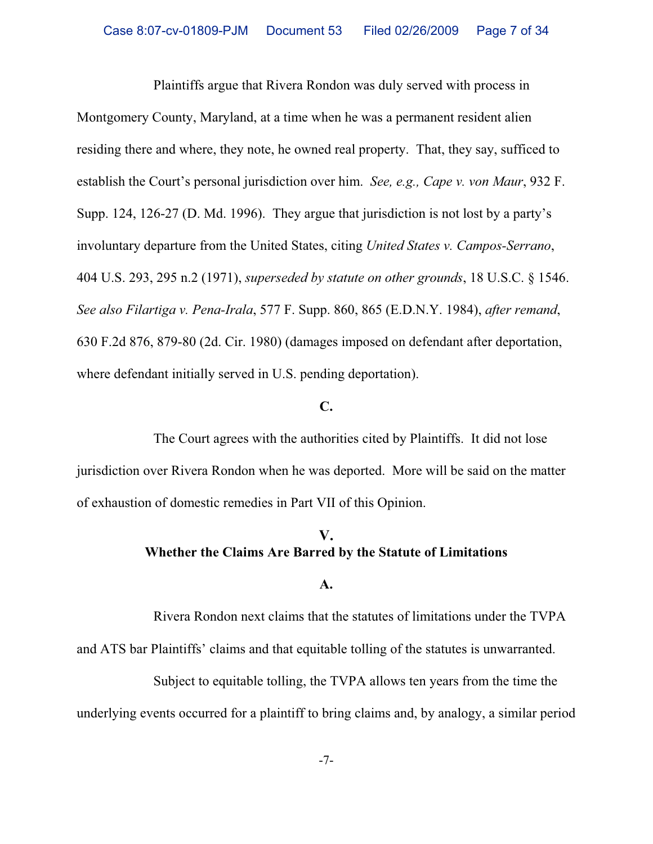Plaintiffs argue that Rivera Rondon was duly served with process in Montgomery County, Maryland, at a time when he was a permanent resident alien residing there and where, they note, he owned real property. That, they say, sufficed to establish the Court's personal jurisdiction over him. *See, e.g., Cape v. von Maur*, 932 F. Supp. 124, 126-27 (D. Md. 1996). They argue that jurisdiction is not lost by a party's involuntary departure from the United States, citing *United States v. Campos-Serrano*, 404 U.S. 293, 295 n.2 (1971), *superseded by statute on other grounds*, 18 U.S.C. § 1546. *See also Filartiga v. Pena-Irala*, 577 F. Supp. 860, 865 (E.D.N.Y. 1984), *after remand*, 630 F.2d 876, 879-80 (2d. Cir. 1980) (damages imposed on defendant after deportation, where defendant initially served in U.S. pending deportation).

#### **C.**

The Court agrees with the authorities cited by Plaintiffs. It did not lose jurisdiction over Rivera Rondon when he was deported. More will be said on the matter of exhaustion of domestic remedies in Part VII of this Opinion.

# **V. Whether the Claims Are Barred by the Statute of Limitations**

#### **A.**

Rivera Rondon next claims that the statutes of limitations under the TVPA and ATS bar Plaintiffs' claims and that equitable tolling of the statutes is unwarranted.

Subject to equitable tolling, the TVPA allows ten years from the time the underlying events occurred for a plaintiff to bring claims and, by analogy, a similar period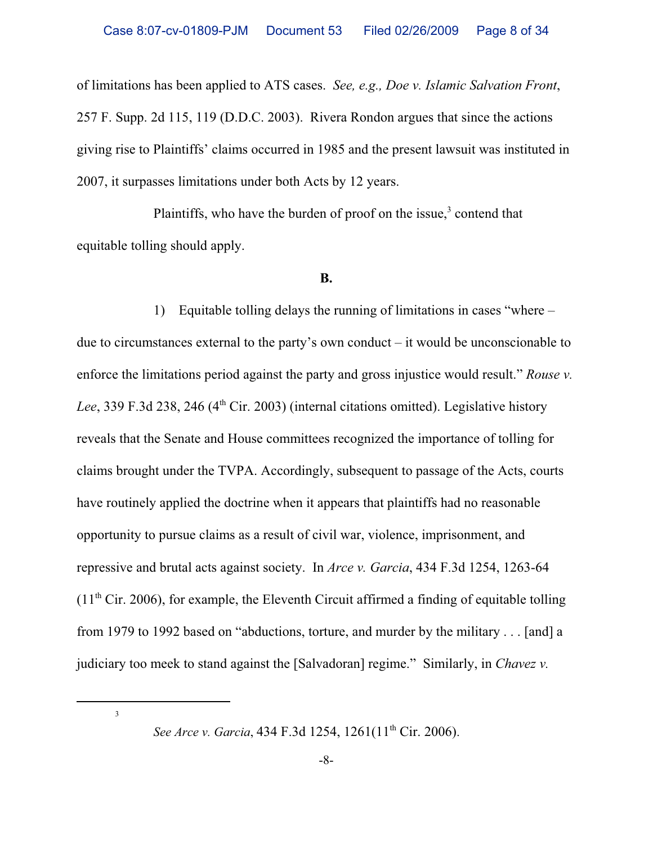of limitations has been applied to ATS cases. *See, e.g., Doe v. Islamic Salvation Front*, 257 F. Supp. 2d 115, 119 (D.D.C. 2003). Rivera Rondon argues that since the actions giving rise to Plaintiffs' claims occurred in 1985 and the present lawsuit was instituted in 2007, it surpasses limitations under both Acts by 12 years.

Plaintiffs, who have the burden of proof on the issue,<sup>3</sup> contend that equitable tolling should apply.

### **B.**

1) Equitable tolling delays the running of limitations in cases "where – due to circumstances external to the party's own conduct – it would be unconscionable to enforce the limitations period against the party and gross injustice would result." *Rouse v.* Lee, 339 F.3d 238, 246 (4<sup>th</sup> Cir. 2003) (internal citations omitted). Legislative history reveals that the Senate and House committees recognized the importance of tolling for claims brought under the TVPA. Accordingly, subsequent to passage of the Acts, courts have routinely applied the doctrine when it appears that plaintiffs had no reasonable opportunity to pursue claims as a result of civil war, violence, imprisonment, and repressive and brutal acts against society. In *Arce v. Garcia*, 434 F.3d 1254, 1263-64  $(11<sup>th</sup> Cir. 2006)$ , for example, the Eleventh Circuit affirmed a finding of equitable tolling from 1979 to 1992 based on "abductions, torture, and murder by the military . . . [and] a judiciary too meek to stand against the [Salvadoran] regime." Similarly, in *Chavez v.*

3

*See Arce v. Garcia*, 434 F.3d 1254, 1261(11<sup>th</sup> Cir. 2006).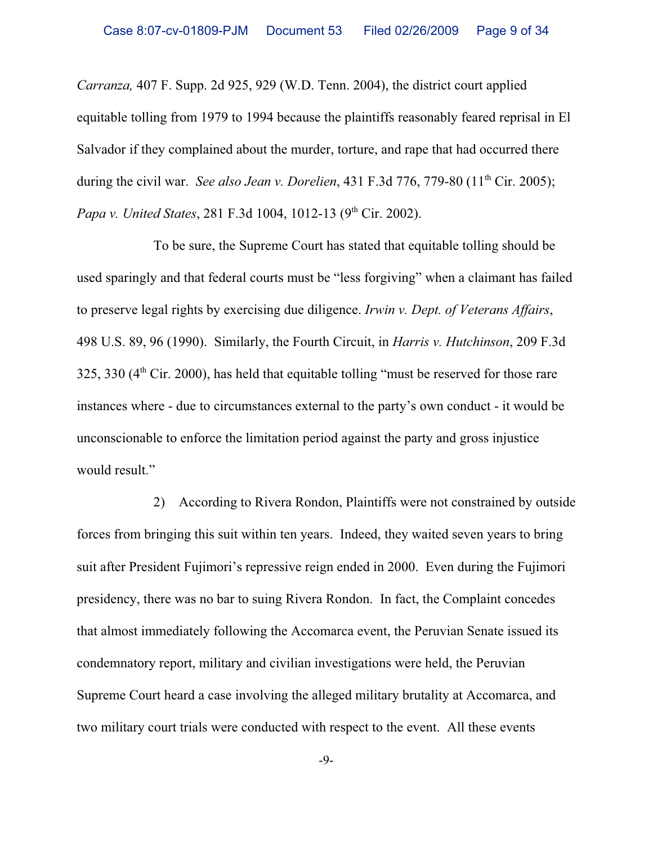*Carranza,* 407 F. Supp. 2d 925, 929 (W.D. Tenn. 2004), the district court applied equitable tolling from 1979 to 1994 because the plaintiffs reasonably feared reprisal in El Salvador if they complained about the murder, torture, and rape that had occurred there during the civil war. *See also Jean v. Dorelien*, 431 F.3d 776, 779-80 (11<sup>th</sup> Cir. 2005); *Papa v. United States,* 281 F.3d 1004, 1012-13 (9<sup>th</sup> Cir. 2002).

To be sure, the Supreme Court has stated that equitable tolling should be used sparingly and that federal courts must be "less forgiving" when a claimant has failed to preserve legal rights by exercising due diligence. *Irwin v. Dept. of Veterans Affairs*, 498 U.S. 89, 96 (1990). Similarly, the Fourth Circuit, in *Harris v. Hutchinson*, 209 F.3d  $325, 330$  ( $4<sup>th</sup>$  Cir. 2000), has held that equitable tolling "must be reserved for those rare instances where - due to circumstances external to the party's own conduct - it would be unconscionable to enforce the limitation period against the party and gross injustice would result."

2) According to Rivera Rondon, Plaintiffs were not constrained by outside forces from bringing this suit within ten years. Indeed, they waited seven years to bring suit after President Fujimori's repressive reign ended in 2000. Even during the Fujimori presidency, there was no bar to suing Rivera Rondon. In fact, the Complaint concedes that almost immediately following the Accomarca event, the Peruvian Senate issued its condemnatory report, military and civilian investigations were held, the Peruvian Supreme Court heard a case involving the alleged military brutality at Accomarca, and two military court trials were conducted with respect to the event. All these events

-9-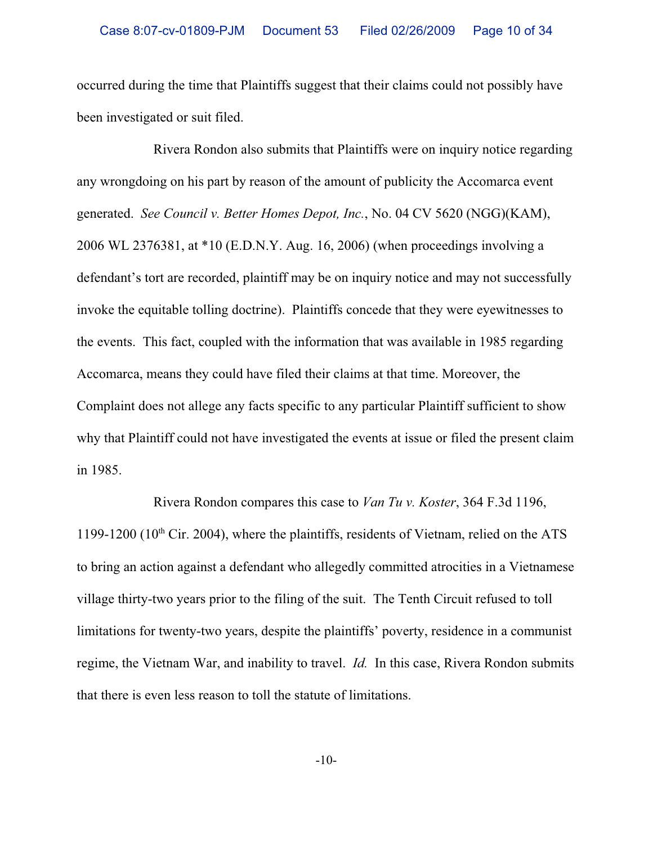occurred during the time that Plaintiffs suggest that their claims could not possibly have been investigated or suit filed.

Rivera Rondon also submits that Plaintiffs were on inquiry notice regarding any wrongdoing on his part by reason of the amount of publicity the Accomarca event generated. *See Council v. Better Homes Depot, Inc.*, No. 04 CV 5620 (NGG)(KAM), 2006 WL 2376381, at \*10 (E.D.N.Y. Aug. 16, 2006) (when proceedings involving a defendant's tort are recorded, plaintiff may be on inquiry notice and may not successfully invoke the equitable tolling doctrine). Plaintiffs concede that they were eyewitnesses to the events. This fact, coupled with the information that was available in 1985 regarding Accomarca, means they could have filed their claims at that time. Moreover, the Complaint does not allege any facts specific to any particular Plaintiff sufficient to show why that Plaintiff could not have investigated the events at issue or filed the present claim in 1985.

Rivera Rondon compares this case to *Van Tu v. Koster*, 364 F.3d 1196, 1199-1200 (10<sup>th</sup> Cir. 2004), where the plaintiffs, residents of Vietnam, relied on the ATS to bring an action against a defendant who allegedly committed atrocities in a Vietnamese village thirty-two years prior to the filing of the suit. The Tenth Circuit refused to toll limitations for twenty-two years, despite the plaintiffs' poverty, residence in a communist regime, the Vietnam War, and inability to travel. *Id.* In this case, Rivera Rondon submits that there is even less reason to toll the statute of limitations.

-10-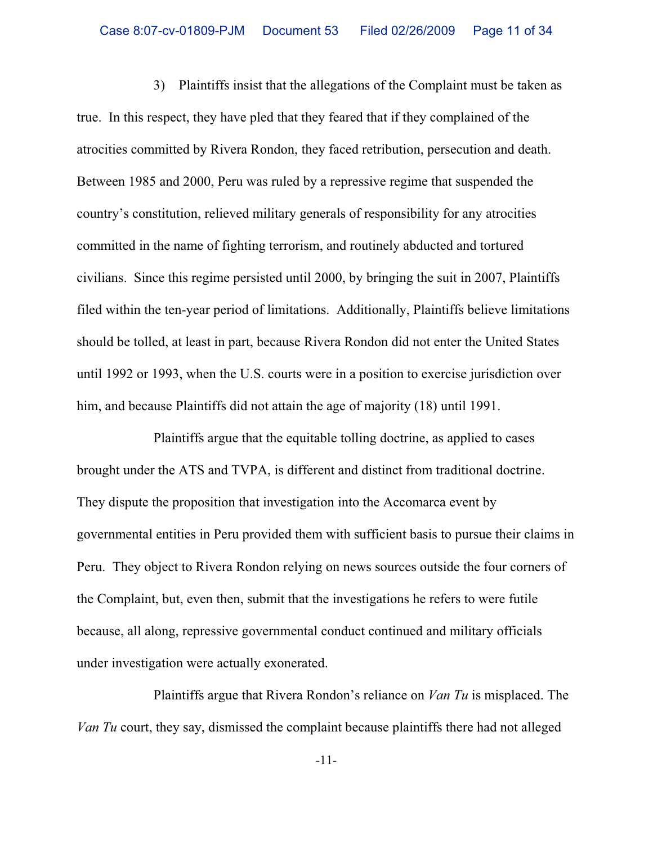3) Plaintiffs insist that the allegations of the Complaint must be taken as true. In this respect, they have pled that they feared that if they complained of the atrocities committed by Rivera Rondon, they faced retribution, persecution and death. Between 1985 and 2000, Peru was ruled by a repressive regime that suspended the country's constitution, relieved military generals of responsibility for any atrocities committed in the name of fighting terrorism, and routinely abducted and tortured civilians. Since this regime persisted until 2000, by bringing the suit in 2007, Plaintiffs filed within the ten-year period of limitations. Additionally, Plaintiffs believe limitations should be tolled, at least in part, because Rivera Rondon did not enter the United States until 1992 or 1993, when the U.S. courts were in a position to exercise jurisdiction over him, and because Plaintiffs did not attain the age of majority (18) until 1991.

Plaintiffs argue that the equitable tolling doctrine, as applied to cases brought under the ATS and TVPA, is different and distinct from traditional doctrine. They dispute the proposition that investigation into the Accomarca event by governmental entities in Peru provided them with sufficient basis to pursue their claims in Peru. They object to Rivera Rondon relying on news sources outside the four corners of the Complaint, but, even then, submit that the investigations he refers to were futile because, all along, repressive governmental conduct continued and military officials under investigation were actually exonerated.

Plaintiffs argue that Rivera Rondon's reliance on *Van Tu* is misplaced. The *Van Tu* court, they say, dismissed the complaint because plaintiffs there had not alleged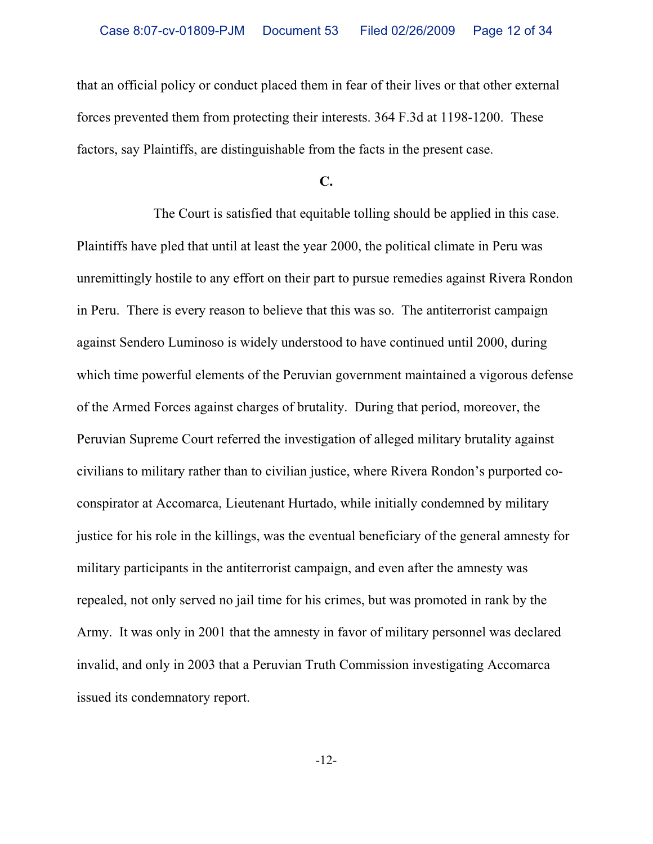that an official policy or conduct placed them in fear of their lives or that other external forces prevented them from protecting their interests. 364 F.3d at 1198-1200. These factors, say Plaintiffs, are distinguishable from the facts in the present case.

**C.**

The Court is satisfied that equitable tolling should be applied in this case. Plaintiffs have pled that until at least the year 2000, the political climate in Peru was unremittingly hostile to any effort on their part to pursue remedies against Rivera Rondon in Peru. There is every reason to believe that this was so. The antiterrorist campaign against Sendero Luminoso is widely understood to have continued until 2000, during which time powerful elements of the Peruvian government maintained a vigorous defense of the Armed Forces against charges of brutality. During that period, moreover, the Peruvian Supreme Court referred the investigation of alleged military brutality against civilians to military rather than to civilian justice, where Rivera Rondon's purported coconspirator at Accomarca, Lieutenant Hurtado, while initially condemned by military justice for his role in the killings, was the eventual beneficiary of the general amnesty for military participants in the antiterrorist campaign, and even after the amnesty was repealed, not only served no jail time for his crimes, but was promoted in rank by the Army. It was only in 2001 that the amnesty in favor of military personnel was declared invalid, and only in 2003 that a Peruvian Truth Commission investigating Accomarca issued its condemnatory report.

-12-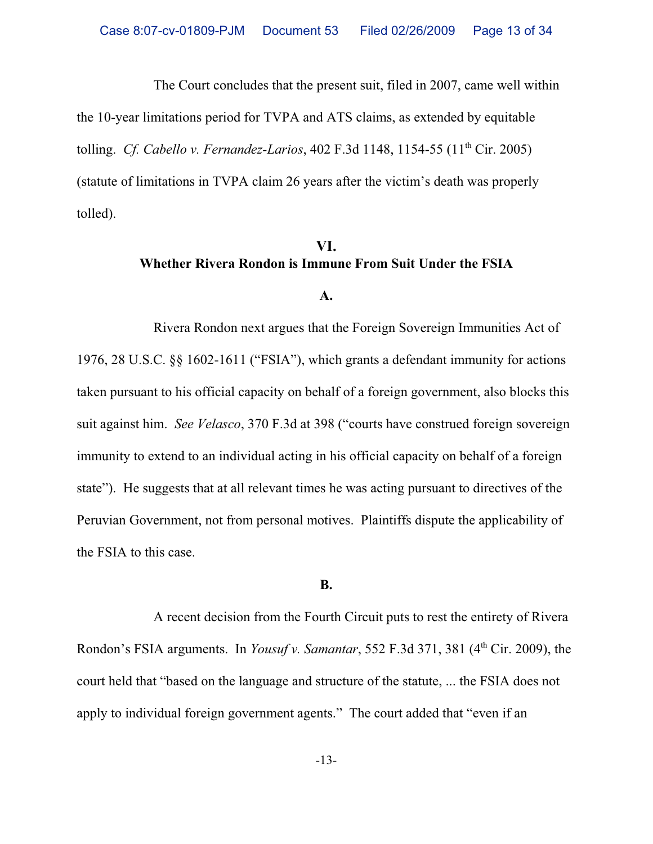The Court concludes that the present suit, filed in 2007, came well within

the 10-year limitations period for TVPA and ATS claims, as extended by equitable

tolling. *Cf. Cabello v. Fernandez-Larios*, 402 F.3d 1148, 1154-55 (11th Cir. 2005)

(statute of limitations in TVPA claim 26 years after the victim's death was properly tolled).

## **VI. Whether Rivera Rondon is Immune From Suit Under the FSIA**

#### **A.**

Rivera Rondon next argues that the Foreign Sovereign Immunities Act of 1976, 28 U.S.C. §§ 1602-1611 ("FSIA"), which grants a defendant immunity for actions taken pursuant to his official capacity on behalf of a foreign government, also blocks this suit against him. *See Velasco*, 370 F.3d at 398 ("courts have construed foreign sovereign immunity to extend to an individual acting in his official capacity on behalf of a foreign state"). He suggests that at all relevant times he was acting pursuant to directives of the Peruvian Government, not from personal motives. Plaintiffs dispute the applicability of the FSIA to this case.

#### **B.**

A recent decision from the Fourth Circuit puts to rest the entirety of Rivera Rondon's FSIA arguments. In *Yousuf v. Samantar*, 552 F.3d 371, 381 (4<sup>th</sup> Cir. 2009), the court held that "based on the language and structure of the statute, ... the FSIA does not apply to individual foreign government agents." The court added that "even if an

-13-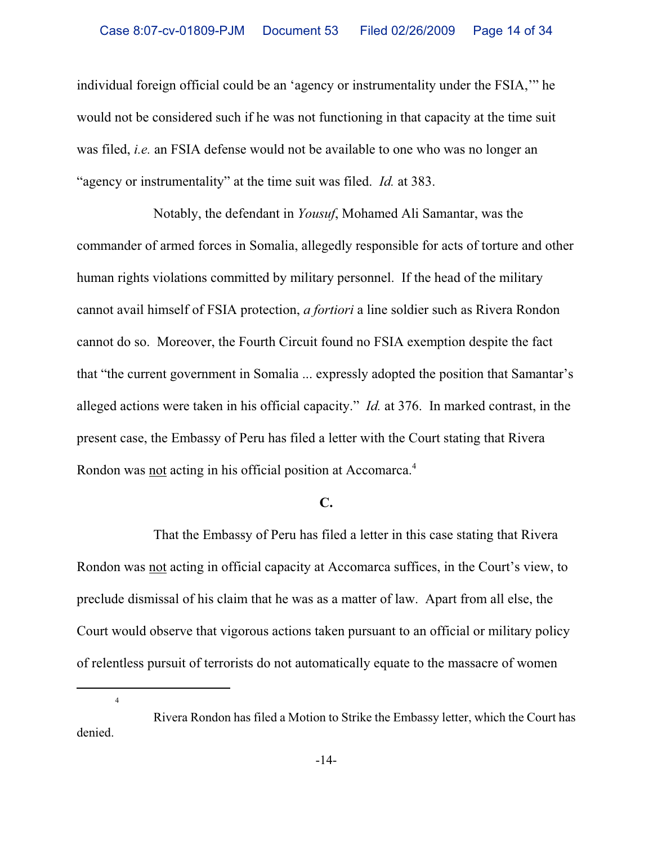individual foreign official could be an 'agency or instrumentality under the FSIA,'" he would not be considered such if he was not functioning in that capacity at the time suit was filed, *i.e.* an FSIA defense would not be available to one who was no longer an "agency or instrumentality" at the time suit was filed. *Id.* at 383.

Notably, the defendant in *Yousuf*, Mohamed Ali Samantar, was the commander of armed forces in Somalia, allegedly responsible for acts of torture and other human rights violations committed by military personnel. If the head of the military cannot avail himself of FSIA protection, *a fortiori* a line soldier such as Rivera Rondon cannot do so. Moreover, the Fourth Circuit found no FSIA exemption despite the fact that "the current government in Somalia ... expressly adopted the position that Samantar's alleged actions were taken in his official capacity." *Id.* at 376. In marked contrast, in the present case, the Embassy of Peru has filed a letter with the Court stating that Rivera Rondon was <u>not</u> acting in his official position at Accomarca.<sup>4</sup>

#### **C.**

That the Embassy of Peru has filed a letter in this case stating that Rivera Rondon was not acting in official capacity at Accomarca suffices, in the Court's view, to preclude dismissal of his claim that he was as a matter of law. Apart from all else, the Court would observe that vigorous actions taken pursuant to an official or military policy of relentless pursuit of terrorists do not automatically equate to the massacre of women

Rivera Rondon has filed a Motion to Strike the Embassy letter, which the Court has denied.

4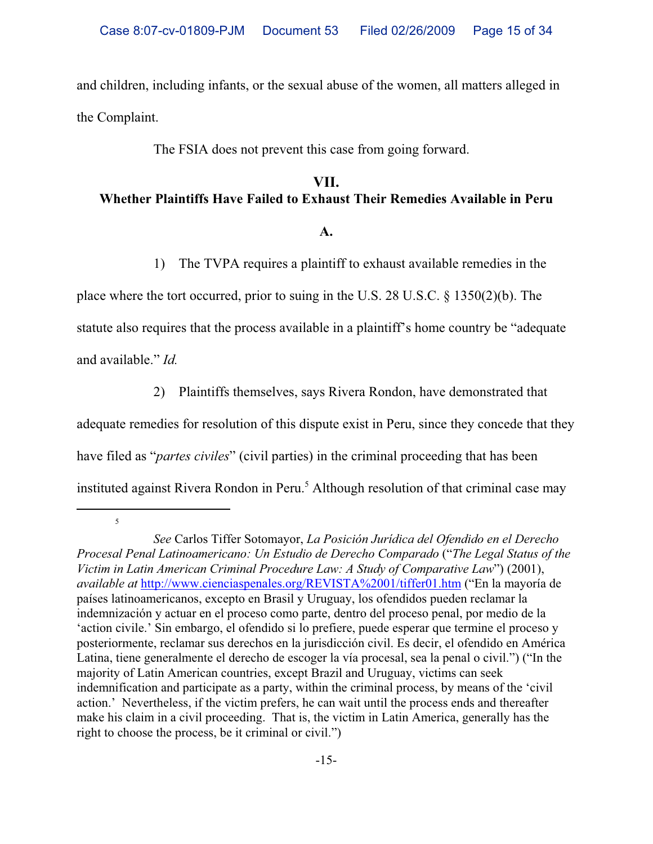and children, including infants, or the sexual abuse of the women, all matters alleged in the Complaint.

The FSIA does not prevent this case from going forward.

# **VII. Whether Plaintiffs Have Failed to Exhaust Their Remedies Available in Peru**

### **A.**

1) The TVPA requires a plaintiff to exhaust available remedies in the

place where the tort occurred, prior to suing in the U.S. 28 U.S.C. § 1350(2)(b). The statute also requires that the process available in a plaintiff's home country be "adequate and available." *Id.*

2) Plaintiffs themselves, says Rivera Rondon, have demonstrated that adequate remedies for resolution of this dispute exist in Peru, since they concede that they have filed as "*partes civiles*" (civil parties) in the criminal proceeding that has been instituted against Rivera Rondon in Peru.<sup>5</sup> Although resolution of that criminal case may

<sup>5</sup>

*See* Carlos Tiffer Sotomayor, *La Posición Jurídica del Ofendido en el Derecho Procesal Penal Latinoamericano: Un Estudio de Derecho Comparado* ("*The Legal Status of the Victim in Latin American Criminal Procedure Law: A Study of Comparative Law*") (2001), *available at* http://www.cienciaspenales.org/REVISTA%2001/tiffer01.htm ("En la mayoría de países latinoamericanos, excepto en Brasil y Uruguay, los ofendidos pueden reclamar la indemnización y actuar en el proceso como parte, dentro del proceso penal, por medio de la 'action civile.' Sin embargo, el ofendido si lo prefiere, puede esperar que termine el proceso y posteriormente, reclamar sus derechos en la jurisdicción civil. Es decir, el ofendido en América Latina, tiene generalmente el derecho de escoger la vía procesal, sea la penal o civil.") ("In the majority of Latin American countries, except Brazil and Uruguay, victims can seek indemnification and participate as a party, within the criminal process, by means of the 'civil action.' Nevertheless, if the victim prefers, he can wait until the process ends and thereafter make his claim in a civil proceeding. That is, the victim in Latin America, generally has the right to choose the process, be it criminal or civil.")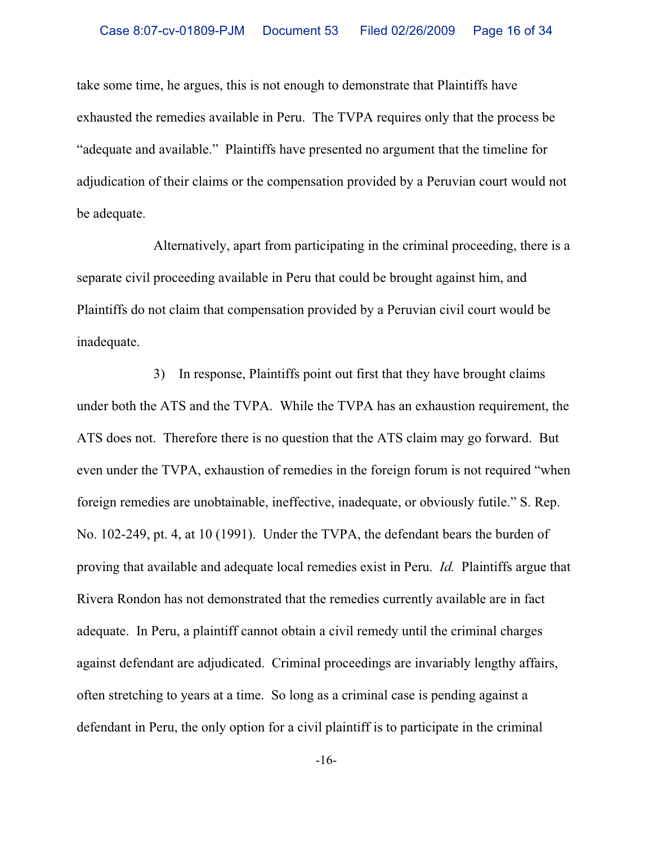take some time, he argues, this is not enough to demonstrate that Plaintiffs have exhausted the remedies available in Peru. The TVPA requires only that the process be "adequate and available." Plaintiffs have presented no argument that the timeline for adjudication of their claims or the compensation provided by a Peruvian court would not be adequate.

Alternatively, apart from participating in the criminal proceeding, there is a separate civil proceeding available in Peru that could be brought against him, and Plaintiffs do not claim that compensation provided by a Peruvian civil court would be inadequate.

3) In response, Plaintiffs point out first that they have brought claims under both the ATS and the TVPA. While the TVPA has an exhaustion requirement, the ATS does not. Therefore there is no question that the ATS claim may go forward. But even under the TVPA, exhaustion of remedies in the foreign forum is not required "when foreign remedies are unobtainable, ineffective, inadequate, or obviously futile." S. Rep. No. 102-249, pt. 4, at 10 (1991). Under the TVPA, the defendant bears the burden of proving that available and adequate local remedies exist in Peru. *Id.* Plaintiffs argue that Rivera Rondon has not demonstrated that the remedies currently available are in fact adequate. In Peru, a plaintiff cannot obtain a civil remedy until the criminal charges against defendant are adjudicated. Criminal proceedings are invariably lengthy affairs, often stretching to years at a time. So long as a criminal case is pending against a defendant in Peru, the only option for a civil plaintiff is to participate in the criminal

-16-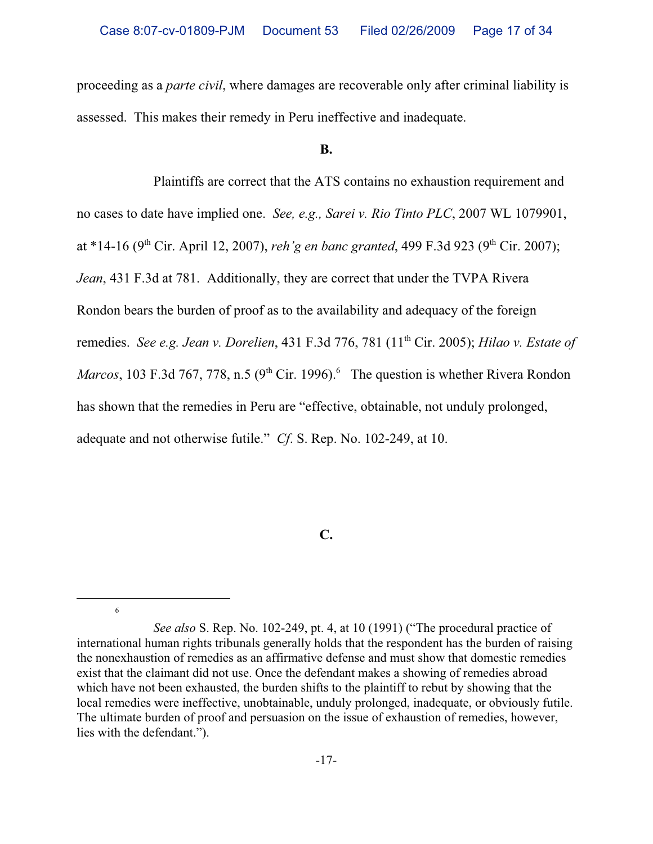proceeding as a *parte civil*, where damages are recoverable only after criminal liability is assessed. This makes their remedy in Peru ineffective and inadequate.

#### **B.**

Plaintiffs are correct that the ATS contains no exhaustion requirement and no cases to date have implied one. *See, e.g., Sarei v. Rio Tinto PLC*, 2007 WL 1079901, at \*14-16 (9<sup>th</sup> Cir. April 12, 2007), *reh'g en banc granted*, 499 F.3d 923 (9<sup>th</sup> Cir. 2007); *Jean*, 431 F.3d at 781. Additionally, they are correct that under the TVPA Rivera Rondon bears the burden of proof as to the availability and adequacy of the foreign remedies. *See e.g. Jean v. Dorelien*, 431 F.3d 776, 781 (11th Cir. 2005); *Hilao v. Estate of Marcos*, 103 F.3d 767, 778, n.5  $(9<sup>th</sup> Cir. 1996).$ <sup>6</sup> The question is whether Rivera Rondon has shown that the remedies in Peru are "effective, obtainable, not unduly prolonged, adequate and not otherwise futile." *Cf*. S. Rep. No. 102-249, at 10.

## **C.**

6

*See also* S. Rep. No. 102-249, pt. 4, at 10 (1991) ("The procedural practice of international human rights tribunals generally holds that the respondent has the burden of raising the nonexhaustion of remedies as an affirmative defense and must show that domestic remedies exist that the claimant did not use. Once the defendant makes a showing of remedies abroad which have not been exhausted, the burden shifts to the plaintiff to rebut by showing that the local remedies were ineffective, unobtainable, unduly prolonged, inadequate, or obviously futile. The ultimate burden of proof and persuasion on the issue of exhaustion of remedies, however, lies with the defendant.").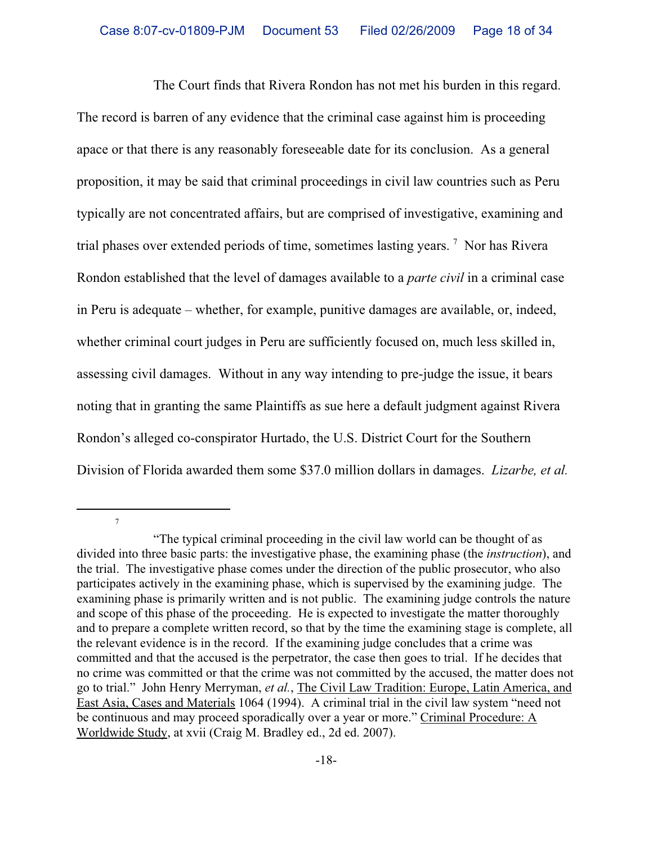The Court finds that Rivera Rondon has not met his burden in this regard. The record is barren of any evidence that the criminal case against him is proceeding apace or that there is any reasonably foreseeable date for its conclusion. As a general proposition, it may be said that criminal proceedings in civil law countries such as Peru typically are not concentrated affairs, but are comprised of investigative, examining and trial phases over extended periods of time, sometimes lasting years.<sup>7</sup> Nor has Rivera Rondon established that the level of damages available to a *parte civil* in a criminal case in Peru is adequate – whether, for example, punitive damages are available, or, indeed, whether criminal court judges in Peru are sufficiently focused on, much less skilled in, assessing civil damages. Without in any way intending to pre-judge the issue, it bears noting that in granting the same Plaintiffs as sue here a default judgment against Rivera Rondon's alleged co-conspirator Hurtado, the U.S. District Court for the Southern Division of Florida awarded them some \$37.0 million dollars in damages. *Lizarbe, et al.*

7

<sup>&</sup>quot;The typical criminal proceeding in the civil law world can be thought of as divided into three basic parts: the investigative phase, the examining phase (the *instruction*), and the trial. The investigative phase comes under the direction of the public prosecutor, who also participates actively in the examining phase, which is supervised by the examining judge. The examining phase is primarily written and is not public. The examining judge controls the nature and scope of this phase of the proceeding. He is expected to investigate the matter thoroughly and to prepare a complete written record, so that by the time the examining stage is complete, all the relevant evidence is in the record. If the examining judge concludes that a crime was committed and that the accused is the perpetrator, the case then goes to trial. If he decides that no crime was committed or that the crime was not committed by the accused, the matter does not go to trial." John Henry Merryman, *et al.*, The Civil Law Tradition: Europe, Latin America, and East Asia, Cases and Materials 1064 (1994). A criminal trial in the civil law system "need not be continuous and may proceed sporadically over a year or more." Criminal Procedure: A Worldwide Study, at xvii (Craig M. Bradley ed., 2d ed. 2007).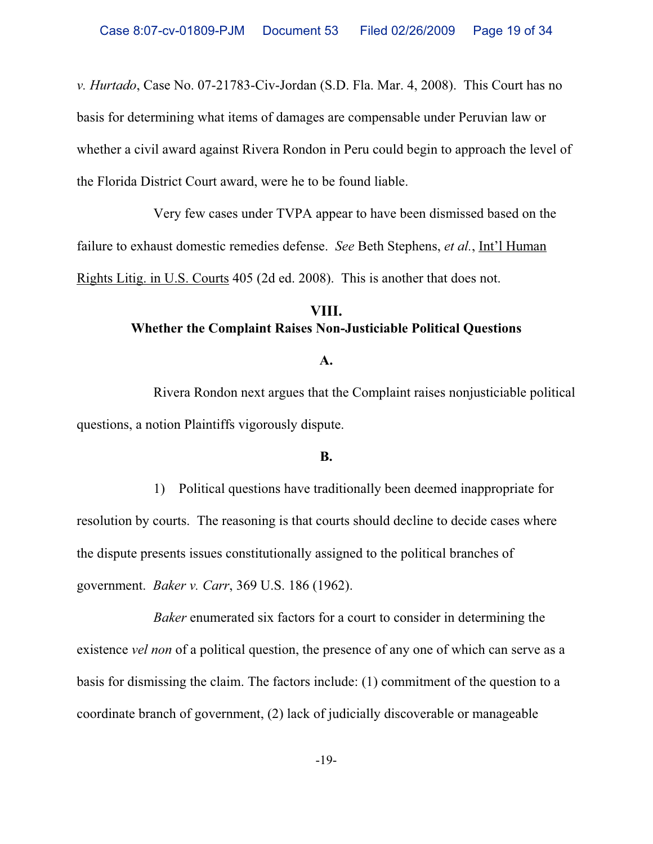*v. Hurtado*, Case No. 07-21783-Civ-Jordan (S.D. Fla. Mar. 4, 2008). This Court has no basis for determining what items of damages are compensable under Peruvian law or whether a civil award against Rivera Rondon in Peru could begin to approach the level of the Florida District Court award, were he to be found liable.

Very few cases under TVPA appear to have been dismissed based on the failure to exhaust domestic remedies defense. *See* Beth Stephens, *et al.*, Int'l Human Rights Litig. in U.S. Courts 405 (2d ed. 2008). This is another that does not.

# **VIII. Whether the Complaint Raises Non-Justiciable Political Questions**

#### **A.**

Rivera Rondon next argues that the Complaint raises nonjusticiable political questions, a notion Plaintiffs vigorously dispute.

#### **B.**

1) Political questions have traditionally been deemed inappropriate for resolution by courts. The reasoning is that courts should decline to decide cases where the dispute presents issues constitutionally assigned to the political branches of government. *Baker v. Carr*, 369 U.S. 186 (1962).

*Baker* enumerated six factors for a court to consider in determining the existence *vel non* of a political question, the presence of any one of which can serve as a basis for dismissing the claim. The factors include: (1) commitment of the question to a coordinate branch of government, (2) lack of judicially discoverable or manageable

-19-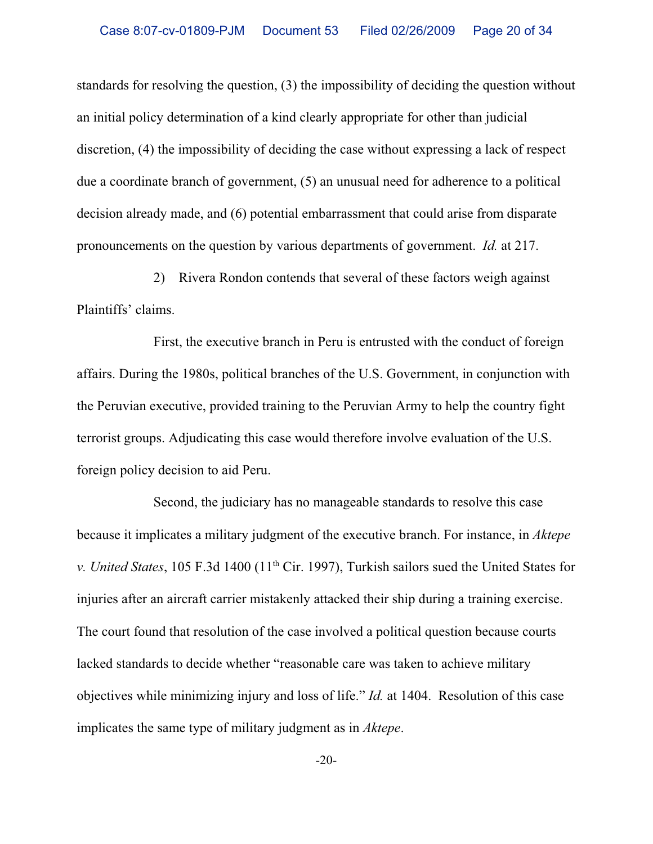standards for resolving the question, (3) the impossibility of deciding the question without an initial policy determination of a kind clearly appropriate for other than judicial discretion, (4) the impossibility of deciding the case without expressing a lack of respect due a coordinate branch of government, (5) an unusual need for adherence to a political decision already made, and (6) potential embarrassment that could arise from disparate pronouncements on the question by various departments of government. *Id.* at 217.

2) Rivera Rondon contends that several of these factors weigh against Plaintiffs' claims.

First, the executive branch in Peru is entrusted with the conduct of foreign affairs. During the 1980s, political branches of the U.S. Government, in conjunction with the Peruvian executive, provided training to the Peruvian Army to help the country fight terrorist groups. Adjudicating this case would therefore involve evaluation of the U.S. foreign policy decision to aid Peru.

Second, the judiciary has no manageable standards to resolve this case because it implicates a military judgment of the executive branch. For instance, in *Aktepe v. United States*, 105 F.3d 1400 (11<sup>th</sup> Cir. 1997), Turkish sailors sued the United States for injuries after an aircraft carrier mistakenly attacked their ship during a training exercise. The court found that resolution of the case involved a political question because courts lacked standards to decide whether "reasonable care was taken to achieve military objectives while minimizing injury and loss of life." *Id.* at 1404. Resolution of this case implicates the same type of military judgment as in *Aktepe*.

-20-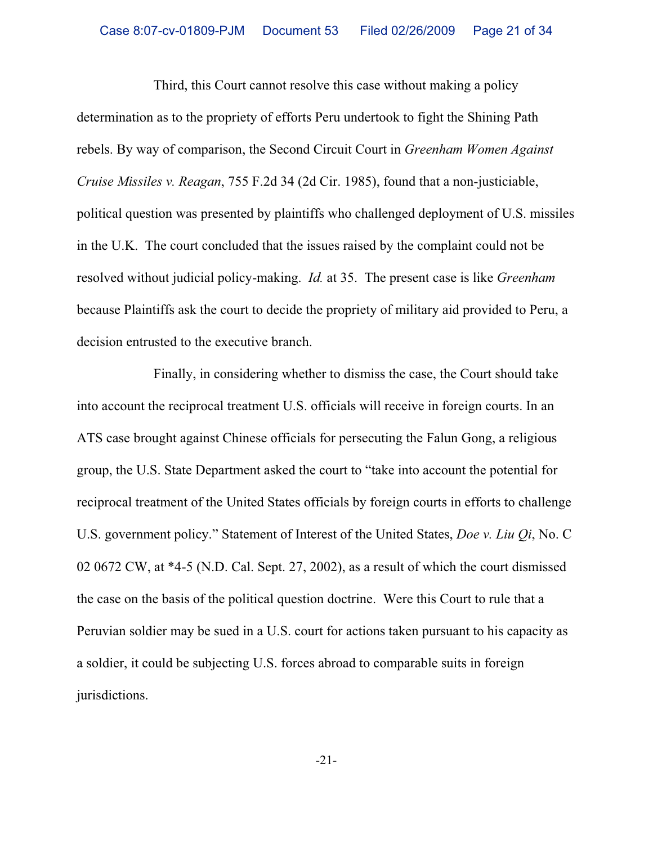Third, this Court cannot resolve this case without making a policy determination as to the propriety of efforts Peru undertook to fight the Shining Path rebels. By way of comparison, the Second Circuit Court in *Greenham Women Against Cruise Missiles v. Reagan*, 755 F.2d 34 (2d Cir. 1985), found that a non-justiciable, political question was presented by plaintiffs who challenged deployment of U.S. missiles in the U.K. The court concluded that the issues raised by the complaint could not be resolved without judicial policy-making. *Id.* at 35. The present case is like *Greenham* because Plaintiffs ask the court to decide the propriety of military aid provided to Peru, a decision entrusted to the executive branch.

Finally, in considering whether to dismiss the case, the Court should take into account the reciprocal treatment U.S. officials will receive in foreign courts. In an ATS case brought against Chinese officials for persecuting the Falun Gong, a religious group, the U.S. State Department asked the court to "take into account the potential for reciprocal treatment of the United States officials by foreign courts in efforts to challenge U.S. government policy." Statement of Interest of the United States, *Doe v. Liu Qi*, No. C 02 0672 CW, at \*4-5 (N.D. Cal. Sept. 27, 2002), as a result of which the court dismissed the case on the basis of the political question doctrine. Were this Court to rule that a Peruvian soldier may be sued in a U.S. court for actions taken pursuant to his capacity as a soldier, it could be subjecting U.S. forces abroad to comparable suits in foreign jurisdictions.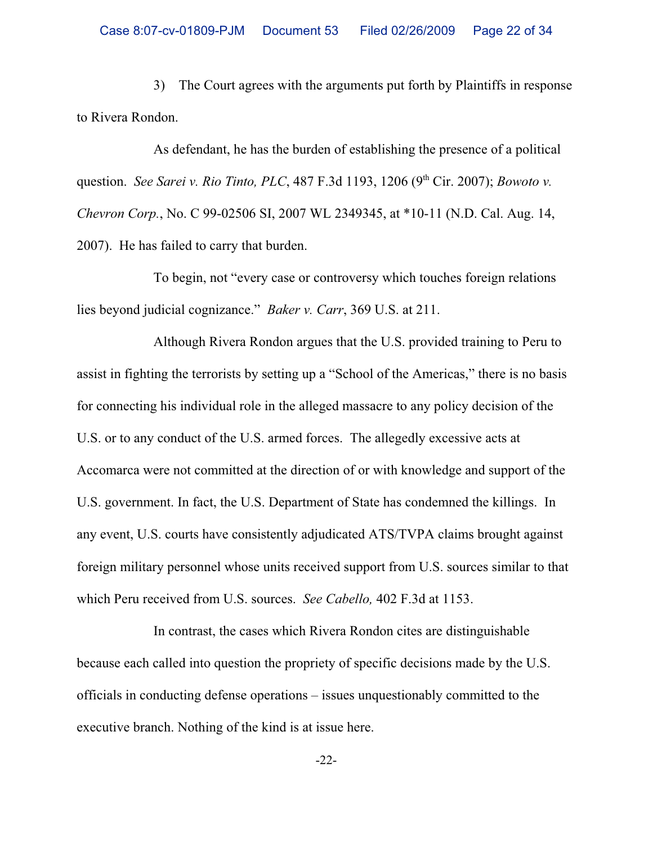3) The Court agrees with the arguments put forth by Plaintiffs in response to Rivera Rondon.

As defendant, he has the burden of establishing the presence of a political question. *See Sarei v. Rio Tinto, PLC*, 487 F.3d 1193, 1206 (9<sup>th</sup> Cir. 2007); *Bowoto v. Chevron Corp.*, No. C 99-02506 SI, 2007 WL 2349345, at \*10-11 (N.D. Cal. Aug. 14, 2007). He has failed to carry that burden.

To begin, not "every case or controversy which touches foreign relations lies beyond judicial cognizance." *Baker v. Carr*, 369 U.S. at 211.

Although Rivera Rondon argues that the U.S. provided training to Peru to assist in fighting the terrorists by setting up a "School of the Americas," there is no basis for connecting his individual role in the alleged massacre to any policy decision of the U.S. or to any conduct of the U.S. armed forces. The allegedly excessive acts at Accomarca were not committed at the direction of or with knowledge and support of the U.S. government. In fact, the U.S. Department of State has condemned the killings. In any event, U.S. courts have consistently adjudicated ATS/TVPA claims brought against foreign military personnel whose units received support from U.S. sources similar to that which Peru received from U.S. sources. *See Cabello,* 402 F.3d at 1153.

In contrast, the cases which Rivera Rondon cites are distinguishable because each called into question the propriety of specific decisions made by the U.S. officials in conducting defense operations – issues unquestionably committed to the executive branch. Nothing of the kind is at issue here.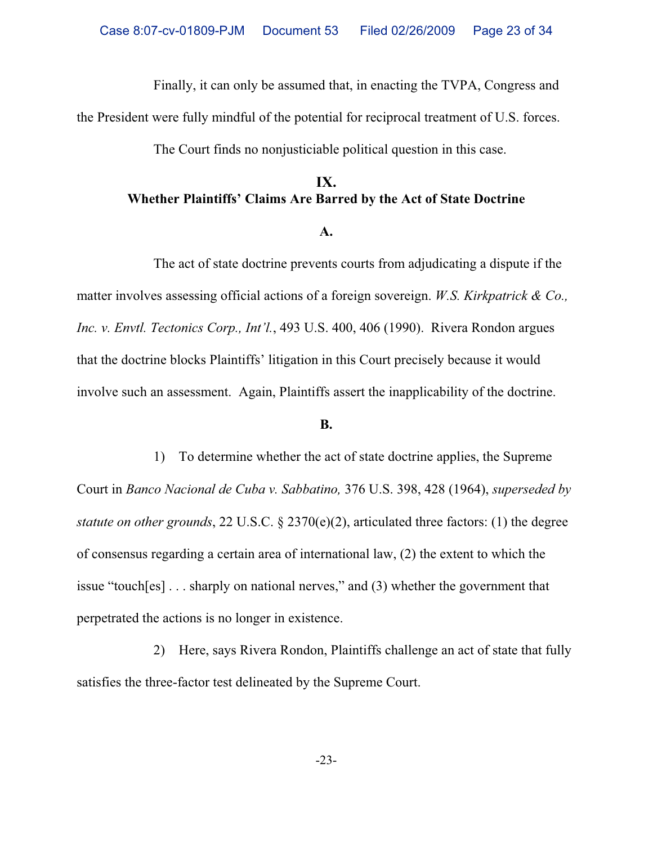Finally, it can only be assumed that, in enacting the TVPA, Congress and

the President were fully mindful of the potential for reciprocal treatment of U.S. forces.

The Court finds no nonjusticiable political question in this case.

# **IX. Whether Plaintiffs' Claims Are Barred by the Act of State Doctrine**

#### **A.**

The act of state doctrine prevents courts from adjudicating a dispute if the matter involves assessing official actions of a foreign sovereign. *W.S. Kirkpatrick & Co., Inc. v. Envtl. Tectonics Corp., Int'l.*, 493 U.S. 400, 406 (1990). Rivera Rondon argues that the doctrine blocks Plaintiffs' litigation in this Court precisely because it would involve such an assessment. Again, Plaintiffs assert the inapplicability of the doctrine.

#### **B.**

1) To determine whether the act of state doctrine applies, the Supreme Court in *Banco Nacional de Cuba v. Sabbatino,* 376 U.S. 398, 428 (1964), *superseded by statute on other grounds*, 22 U.S.C. § 2370(e)(2), articulated three factors: (1) the degree of consensus regarding a certain area of international law, (2) the extent to which the issue "touch[es] . . . sharply on national nerves," and (3) whether the government that perpetrated the actions is no longer in existence.

2) Here, says Rivera Rondon, Plaintiffs challenge an act of state that fully satisfies the three-factor test delineated by the Supreme Court.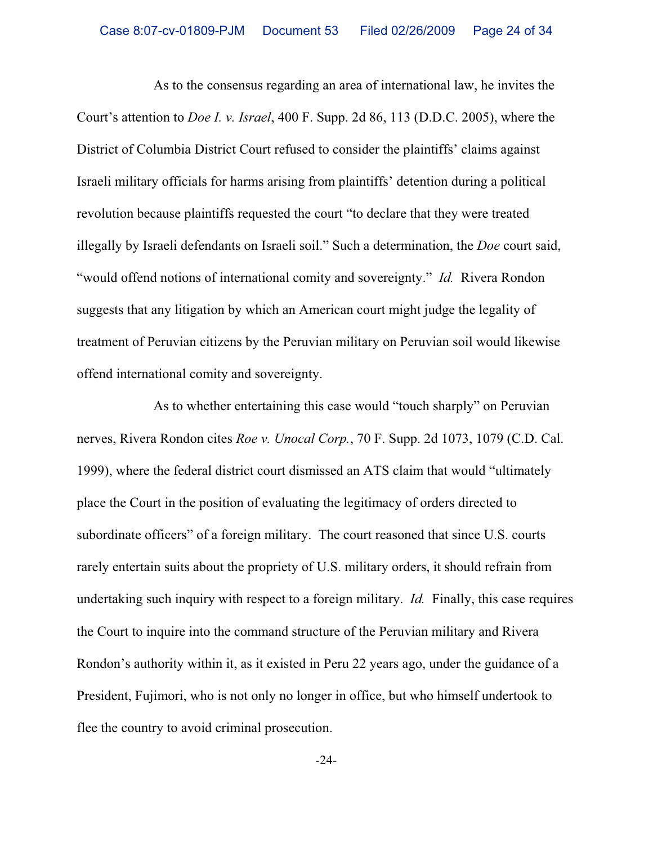As to the consensus regarding an area of international law, he invites the Court's attention to *Doe I. v. Israel*, 400 F. Supp. 2d 86, 113 (D.D.C. 2005), where the District of Columbia District Court refused to consider the plaintiffs' claims against Israeli military officials for harms arising from plaintiffs' detention during a political revolution because plaintiffs requested the court "to declare that they were treated illegally by Israeli defendants on Israeli soil." Such a determination, the *Doe* court said, "would offend notions of international comity and sovereignty." *Id.* Rivera Rondon suggests that any litigation by which an American court might judge the legality of treatment of Peruvian citizens by the Peruvian military on Peruvian soil would likewise offend international comity and sovereignty.

As to whether entertaining this case would "touch sharply" on Peruvian nerves, Rivera Rondon cites *Roe v. Unocal Corp.*, 70 F. Supp. 2d 1073, 1079 (C.D. Cal. 1999), where the federal district court dismissed an ATS claim that would "ultimately place the Court in the position of evaluating the legitimacy of orders directed to subordinate officers" of a foreign military. The court reasoned that since U.S. courts rarely entertain suits about the propriety of U.S. military orders, it should refrain from undertaking such inquiry with respect to a foreign military. *Id.* Finally, this case requires the Court to inquire into the command structure of the Peruvian military and Rivera Rondon's authority within it, as it existed in Peru 22 years ago, under the guidance of a President, Fujimori, who is not only no longer in office, but who himself undertook to flee the country to avoid criminal prosecution.

-24-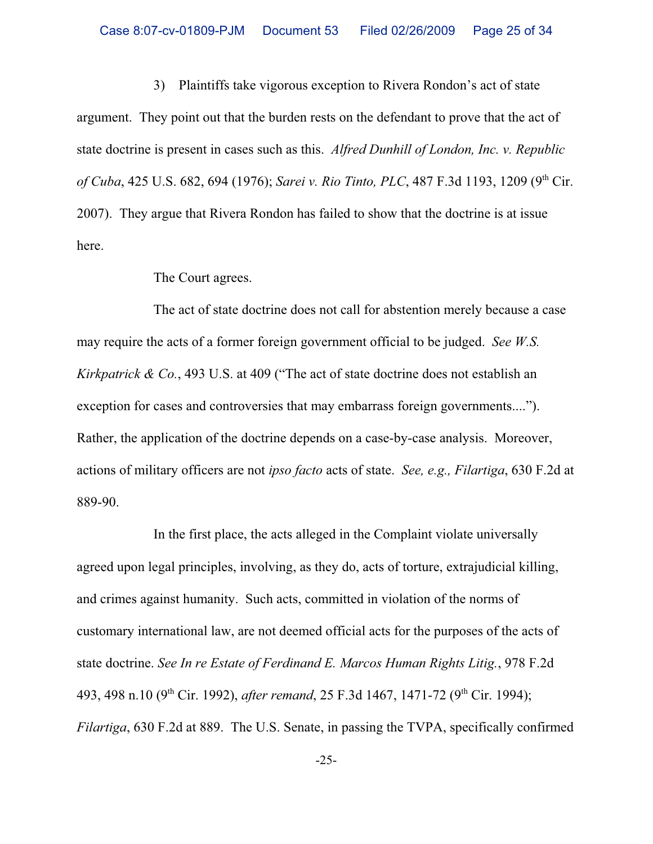3) Plaintiffs take vigorous exception to Rivera Rondon's act of state argument. They point out that the burden rests on the defendant to prove that the act of state doctrine is present in cases such as this. *Alfred Dunhill of London, Inc. v. Republic of Cuba*, 425 U.S. 682, 694 (1976); *Sarei v. Rio Tinto, PLC*, 487 F.3d 1193, 1209 (9<sup>th</sup> Cir. 2007). They argue that Rivera Rondon has failed to show that the doctrine is at issue here.

The Court agrees.

The act of state doctrine does not call for abstention merely because a case may require the acts of a former foreign government official to be judged. *See W.S. Kirkpatrick & Co.*, 493 U.S. at 409 ("The act of state doctrine does not establish an exception for cases and controversies that may embarrass foreign governments...."). Rather, the application of the doctrine depends on a case-by-case analysis. Moreover, actions of military officers are not *ipso facto* acts of state. *See, e.g., Filartiga*, 630 F.2d at 889-90.

In the first place, the acts alleged in the Complaint violate universally agreed upon legal principles, involving, as they do, acts of torture, extrajudicial killing, and crimes against humanity. Such acts, committed in violation of the norms of customary international law, are not deemed official acts for the purposes of the acts of state doctrine. *See In re Estate of Ferdinand E. Marcos Human Rights Litig.*, 978 F.2d 493, 498 n.10 (9<sup>th</sup> Cir. 1992), *after remand*, 25 F.3d 1467, 1471-72 (9<sup>th</sup> Cir. 1994); *Filartiga*, 630 F.2d at 889. The U.S. Senate, in passing the TVPA, specifically confirmed

-25-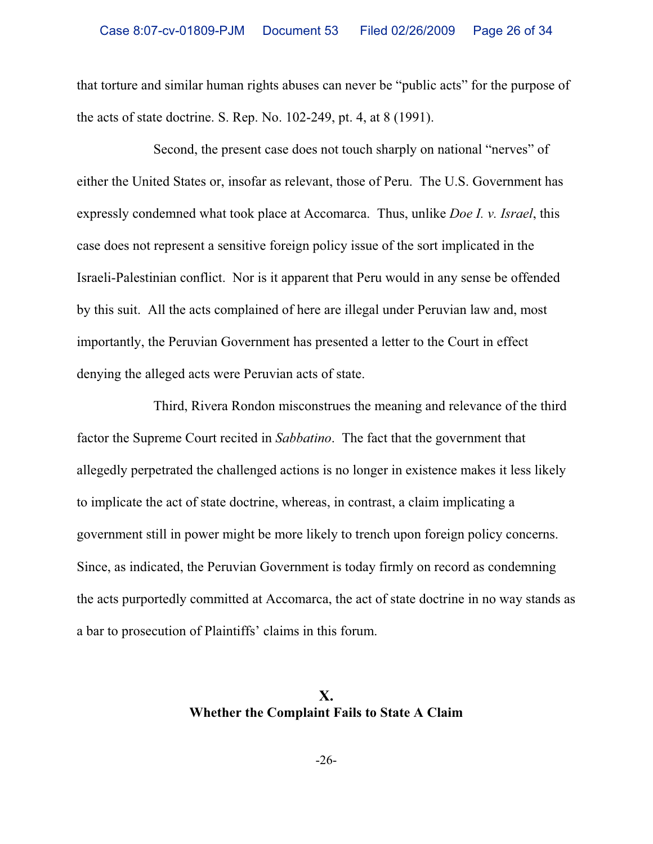that torture and similar human rights abuses can never be "public acts" for the purpose of the acts of state doctrine. S. Rep. No. 102-249, pt. 4, at 8 (1991).

Second, the present case does not touch sharply on national "nerves" of either the United States or, insofar as relevant, those of Peru. The U.S. Government has expressly condemned what took place at Accomarca. Thus, unlike *Doe I. v. Israel*, this case does not represent a sensitive foreign policy issue of the sort implicated in the Israeli-Palestinian conflict. Nor is it apparent that Peru would in any sense be offended by this suit. All the acts complained of here are illegal under Peruvian law and, most importantly, the Peruvian Government has presented a letter to the Court in effect denying the alleged acts were Peruvian acts of state.

Third, Rivera Rondon misconstrues the meaning and relevance of the third factor the Supreme Court recited in *Sabbatino*. The fact that the government that allegedly perpetrated the challenged actions is no longer in existence makes it less likely to implicate the act of state doctrine, whereas, in contrast, a claim implicating a government still in power might be more likely to trench upon foreign policy concerns. Since, as indicated, the Peruvian Government is today firmly on record as condemning the acts purportedly committed at Accomarca, the act of state doctrine in no way stands as a bar to prosecution of Plaintiffs' claims in this forum.

## **X. Whether the Complaint Fails to State A Claim**

-26-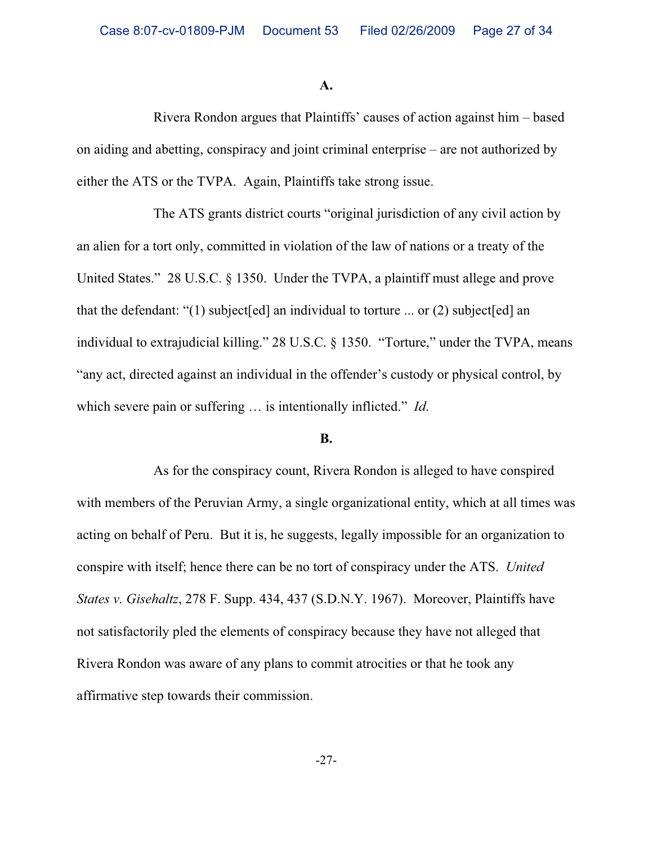**A.**

Rivera Rondon argues that Plaintiffs' causes of action against him – based on aiding and abetting, conspiracy and joint criminal enterprise – are not authorized by either the ATS or the TVPA. Again, Plaintiffs take strong issue.

The ATS grants district courts "original jurisdiction of any civil action by an alien for a tort only, committed in violation of the law of nations or a treaty of the United States." 28 U.S.C. § 1350. Under the TVPA, a plaintiff must allege and prove that the defendant: "(1) subject [ed] an individual to torture ... or (2) subject [ed] an individual to extrajudicial killing." 28 U.S.C. § 1350. "Torture," under the TVPA, means "any act, directed against an individual in the offender's custody or physical control, by which severe pain or suffering … is intentionally inflicted." *Id*.

#### **B.**

As for the conspiracy count, Rivera Rondon is alleged to have conspired with members of the Peruvian Army, a single organizational entity, which at all times was acting on behalf of Peru. But it is, he suggests, legally impossible for an organization to conspire with itself; hence there can be no tort of conspiracy under the ATS. *United States v. Gisehaltz*, 278 F. Supp. 434, 437 (S.D.N.Y. 1967). Moreover, Plaintiffs have not satisfactorily pled the elements of conspiracy because they have not alleged that Rivera Rondon was aware of any plans to commit atrocities or that he took any affirmative step towards their commission.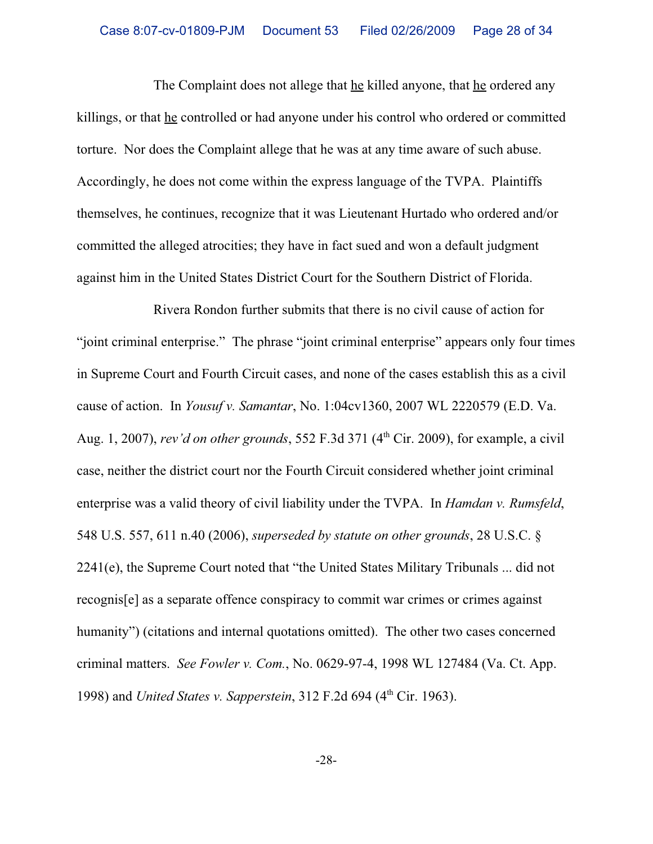The Complaint does not allege that he killed anyone, that he ordered any killings, or that he controlled or had anyone under his control who ordered or committed torture. Nor does the Complaint allege that he was at any time aware of such abuse. Accordingly, he does not come within the express language of the TVPA. Plaintiffs themselves, he continues, recognize that it was Lieutenant Hurtado who ordered and/or committed the alleged atrocities; they have in fact sued and won a default judgment against him in the United States District Court for the Southern District of Florida.

Rivera Rondon further submits that there is no civil cause of action for "joint criminal enterprise." The phrase "joint criminal enterprise" appears only four times in Supreme Court and Fourth Circuit cases, and none of the cases establish this as a civil cause of action. In *Yousuf v. Samantar*, No. 1:04cv1360, 2007 WL 2220579 (E.D. Va. Aug. 1, 2007), *rev'd on other grounds*, 552 F.3d 371 (4<sup>th</sup> Cir. 2009), for example, a civil case, neither the district court nor the Fourth Circuit considered whether joint criminal enterprise was a valid theory of civil liability under the TVPA. In *Hamdan v. Rumsfeld*, 548 U.S. 557, 611 n.40 (2006), *superseded by statute on other grounds*, 28 U.S.C. § 2241(e), the Supreme Court noted that "the United States Military Tribunals ... did not recognis[e] as a separate offence conspiracy to commit war crimes or crimes against humanity") (citations and internal quotations omitted). The other two cases concerned criminal matters. *See Fowler v. Com.*, No. 0629-97-4, 1998 WL 127484 (Va. Ct. App. 1998) and *United States v. Sapperstein*, 312 F.2d 694 (4<sup>th</sup> Cir. 1963).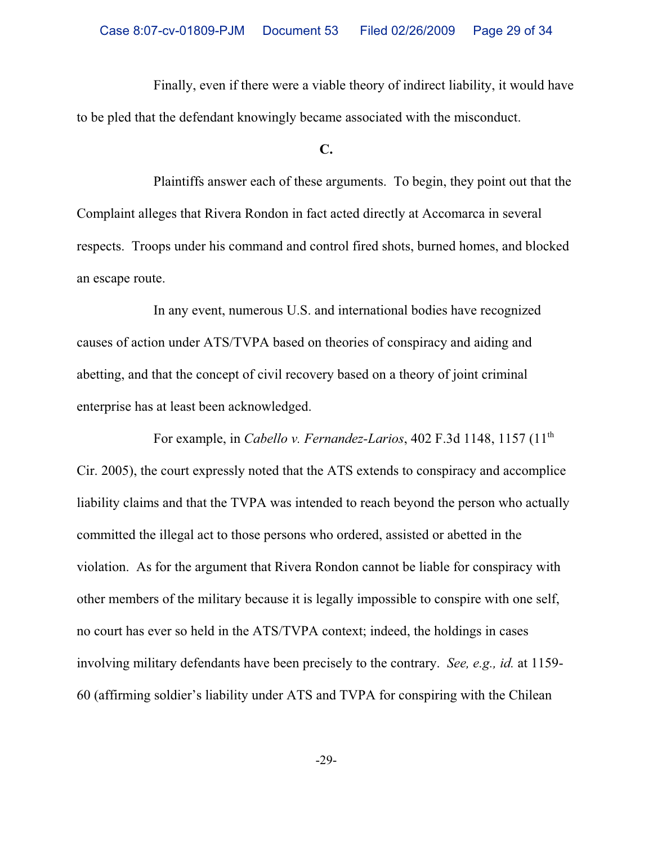Finally, even if there were a viable theory of indirect liability, it would have to be pled that the defendant knowingly became associated with the misconduct.

**C.**

Plaintiffs answer each of these arguments. To begin, they point out that the Complaint alleges that Rivera Rondon in fact acted directly at Accomarca in several respects. Troops under his command and control fired shots, burned homes, and blocked an escape route.

In any event, numerous U.S. and international bodies have recognized causes of action under ATS/TVPA based on theories of conspiracy and aiding and abetting, and that the concept of civil recovery based on a theory of joint criminal enterprise has at least been acknowledged.

For example, in *Cabello v. Fernandez-Larios*, 402 F.3d 1148, 1157 (11th Cir. 2005), the court expressly noted that the ATS extends to conspiracy and accomplice liability claims and that the TVPA was intended to reach beyond the person who actually committed the illegal act to those persons who ordered, assisted or abetted in the violation. As for the argument that Rivera Rondon cannot be liable for conspiracy with other members of the military because it is legally impossible to conspire with one self, no court has ever so held in the ATS/TVPA context; indeed, the holdings in cases involving military defendants have been precisely to the contrary. *See, e.g., id.* at 1159- 60 (affirming soldier's liability under ATS and TVPA for conspiring with the Chilean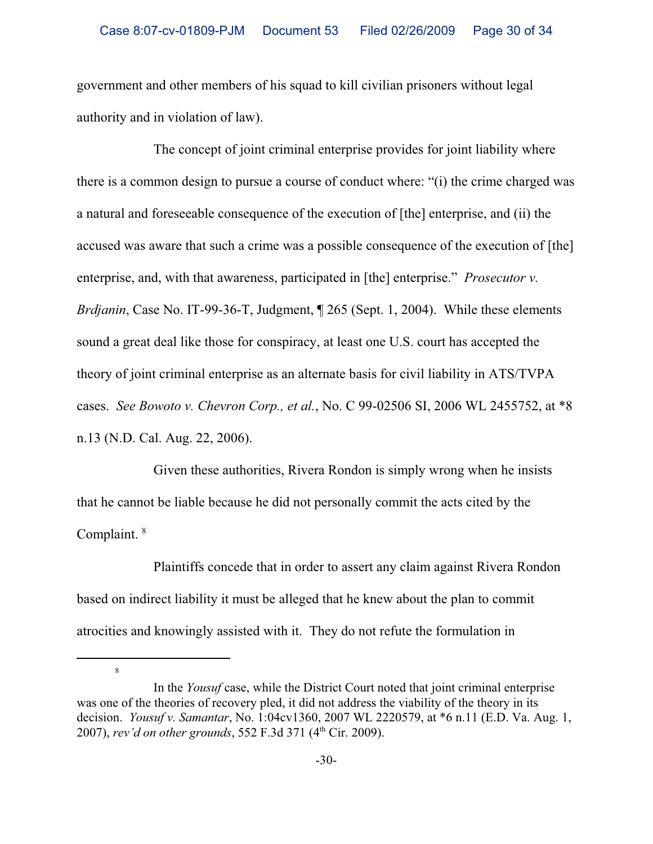government and other members of his squad to kill civilian prisoners without legal authority and in violation of law).

The concept of joint criminal enterprise provides for joint liability where there is a common design to pursue a course of conduct where: "(i) the crime charged was a natural and foreseeable consequence of the execution of [the] enterprise, and (ii) the accused was aware that such a crime was a possible consequence of the execution of [the] enterprise, and, with that awareness, participated in [the] enterprise." *Prosecutor v. Brdjanin*, Case No. IT-99-36-T, Judgment, ¶ 265 (Sept. 1, 2004). While these elements sound a great deal like those for conspiracy, at least one U.S. court has accepted the theory of joint criminal enterprise as an alternate basis for civil liability in ATS/TVPA cases. *See Bowoto v. Chevron Corp., et al.*, No. C 99-02506 SI, 2006 WL 2455752, at \*8 n.13 (N.D. Cal. Aug. 22, 2006).

Given these authorities, Rivera Rondon is simply wrong when he insists that he cannot be liable because he did not personally commit the acts cited by the Complaint.<sup>8</sup>

Plaintiffs concede that in order to assert any claim against Rivera Rondon based on indirect liability it must be alleged that he knew about the plan to commit atrocities and knowingly assisted with it. They do not refute the formulation in

<sup>8</sup>

In the *Yousuf* case, while the District Court noted that joint criminal enterprise was one of the theories of recovery pled, it did not address the viability of the theory in its decision. *Yousuf v. Samantar*, No. 1:04cv1360, 2007 WL 2220579, at \*6 n.11 (E.D. Va. Aug. 1, 2007), *rev'd on other grounds*, 552 F.3d 371 (4<sup>th</sup> Cir. 2009).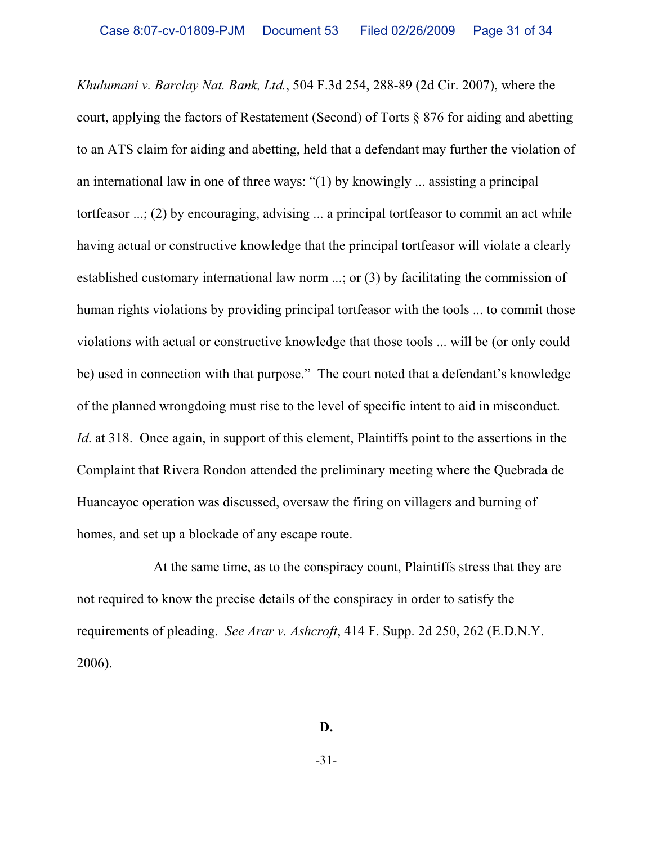*Khulumani v. Barclay Nat. Bank, Ltd.*, 504 F.3d 254, 288-89 (2d Cir. 2007), where the court, applying the factors of Restatement (Second) of Torts § 876 for aiding and abetting to an ATS claim for aiding and abetting, held that a defendant may further the violation of an international law in one of three ways: "(1) by knowingly ... assisting a principal tortfeasor ...; (2) by encouraging, advising ... a principal tortfeasor to commit an act while having actual or constructive knowledge that the principal tortfeasor will violate a clearly established customary international law norm ...; or (3) by facilitating the commission of human rights violations by providing principal tortfeasor with the tools ... to commit those violations with actual or constructive knowledge that those tools ... will be (or only could be) used in connection with that purpose." The court noted that a defendant's knowledge of the planned wrongdoing must rise to the level of specific intent to aid in misconduct. *Id.* at 318. Once again, in support of this element, Plaintiffs point to the assertions in the Complaint that Rivera Rondon attended the preliminary meeting where the Quebrada de Huancayoc operation was discussed, oversaw the firing on villagers and burning of homes, and set up a blockade of any escape route.

At the same time, as to the conspiracy count, Plaintiffs stress that they are not required to know the precise details of the conspiracy in order to satisfy the requirements of pleading. *See Arar v. Ashcroft*, 414 F. Supp. 2d 250, 262 (E.D.N.Y. 2006).

**D.**

-31-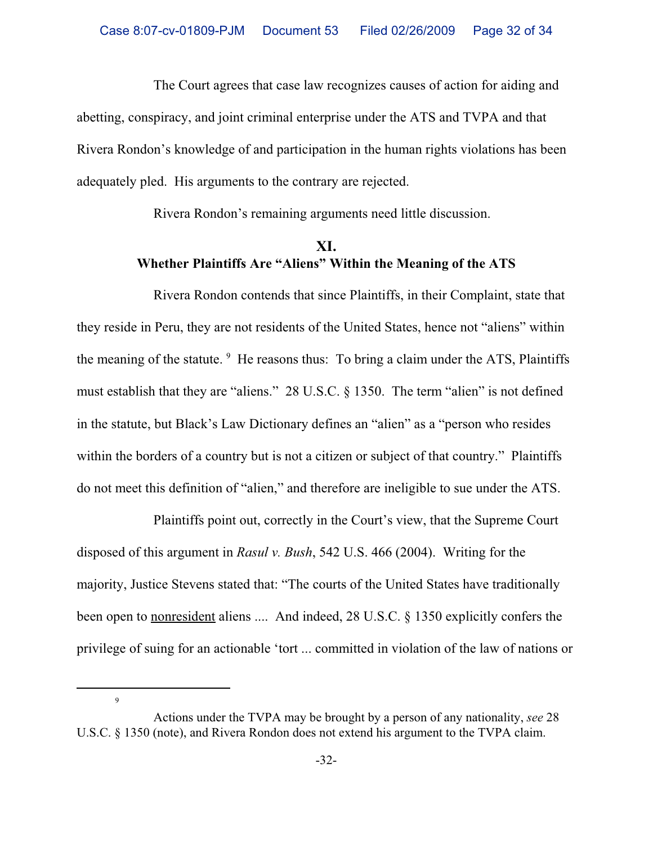The Court agrees that case law recognizes causes of action for aiding and abetting, conspiracy, and joint criminal enterprise under the ATS and TVPA and that Rivera Rondon's knowledge of and participation in the human rights violations has been adequately pled. His arguments to the contrary are rejected.

Rivera Rondon's remaining arguments need little discussion.

# **XI. Whether Plaintiffs Are "Aliens" Within the Meaning of the ATS**

Rivera Rondon contends that since Plaintiffs, in their Complaint, state that they reside in Peru, they are not residents of the United States, hence not "aliens" within the meaning of the statute. <sup>9</sup> He reasons thus: To bring a claim under the ATS, Plaintiffs must establish that they are "aliens." 28 U.S.C. § 1350. The term "alien" is not defined in the statute, but Black's Law Dictionary defines an "alien" as a "person who resides within the borders of a country but is not a citizen or subject of that country." Plaintiffs do not meet this definition of "alien," and therefore are ineligible to sue under the ATS.

Plaintiffs point out, correctly in the Court's view, that the Supreme Court disposed of this argument in *Rasul v. Bush*, 542 U.S. 466 (2004). Writing for the majority, Justice Stevens stated that: "The courts of the United States have traditionally been open to nonresident aliens .... And indeed, 28 U.S.C. § 1350 explicitly confers the privilege of suing for an actionable 'tort ... committed in violation of the law of nations or

9

Actions under the TVPA may be brought by a person of any nationality, *see* 28 U.S.C. § 1350 (note), and Rivera Rondon does not extend his argument to the TVPA claim.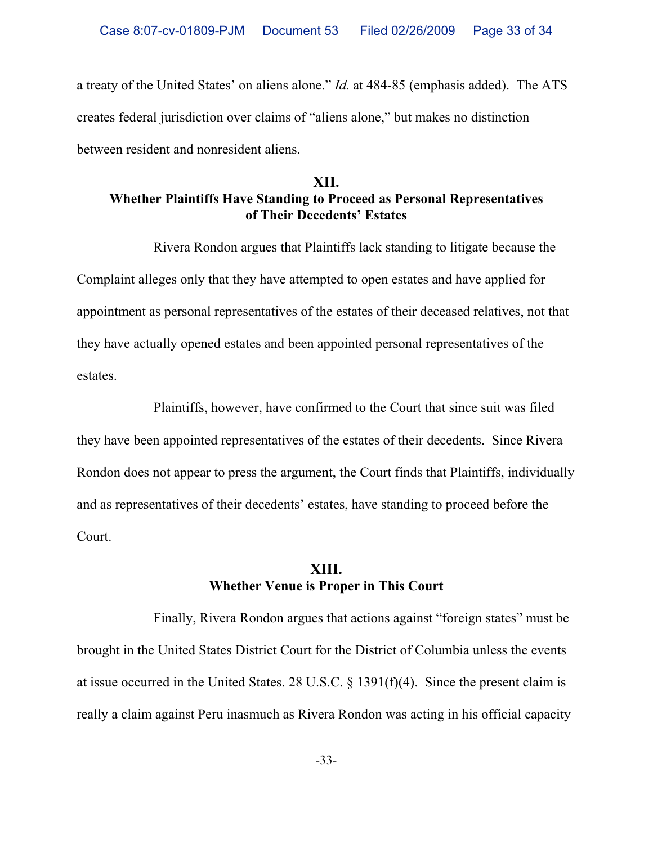a treaty of the United States' on aliens alone." *Id.* at 484-85 (emphasis added). The ATS creates federal jurisdiction over claims of "aliens alone," but makes no distinction between resident and nonresident aliens.

## **XII. Whether Plaintiffs Have Standing to Proceed as Personal Representatives of Their Decedents' Estates**

Rivera Rondon argues that Plaintiffs lack standing to litigate because the Complaint alleges only that they have attempted to open estates and have applied for appointment as personal representatives of the estates of their deceased relatives, not that they have actually opened estates and been appointed personal representatives of the estates.

Plaintiffs, however, have confirmed to the Court that since suit was filed they have been appointed representatives of the estates of their decedents. Since Rivera Rondon does not appear to press the argument, the Court finds that Plaintiffs, individually and as representatives of their decedents' estates, have standing to proceed before the Court.

## **XIII. Whether Venue is Proper in This Court**

Finally, Rivera Rondon argues that actions against "foreign states" must be brought in the United States District Court for the District of Columbia unless the events at issue occurred in the United States. 28 U.S.C. § 1391(f)(4). Since the present claim is really a claim against Peru inasmuch as Rivera Rondon was acting in his official capacity